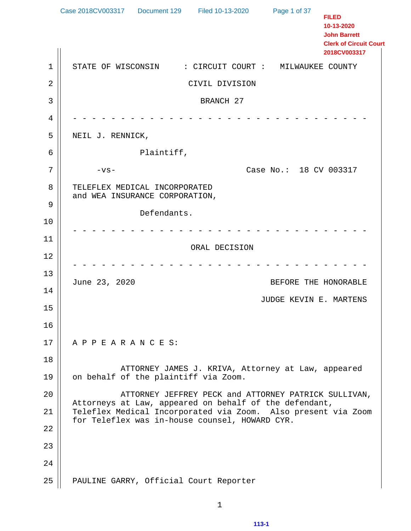1 | STATE OF WISCONSIN : CIRCUIT COURT : MILWAUKEE COUNTY 2 CIVIL DIVISION 3 || BRANCH 27 4 - - - - - - - - - - - - - - - - - - - - - - - - - - - - - - - 5 NEIL J. RENNICK, 6 Plaintiff,  $7 \parallel$  -vs-  $^{-1}$  -vs-8 | TELEFLEX MEDICAL INCORPORATED and WEA INSURANCE CORPORATION, 9 Defendants. 10 - - - - - - - - - - - - - - - - - - - - - - - - - - - - - - - 11 ORAL DECISION 12 - - - - - - - - - - - - - - - - - - - - - - - - - - - - - - - 13 June 23, 2020 BEFORE THE HONORABLE 14 JUDGE KEVIN E. MARTENS 15 16 17 | A P P E A R A N C E S: 18 ATTORNEY JAMES J. KRIVA, Attorney at Law, appeared  $19 \parallel$  on behalf of the plaintiff via Zoom. 20 ATTORNEY JEFFREY PECK and ATTORNEY PATRICK SULLIVAN, Attorneys at Law, appeared on behalf of the defendant, 21 Teleflex Medical Incorporated via Zoom. Also present via Zoom for Teleflex was in-house counsel, HOWARD CYR. 22 23 24 25 | PAULINE GARRY, Official Court Reporter Case 2018CV003317 Document 129 Filed 10-13-2020 Page 1 of 37 **FILED 10-13-2020 John Barrett Clerk of Circuit Court 2018CV003317**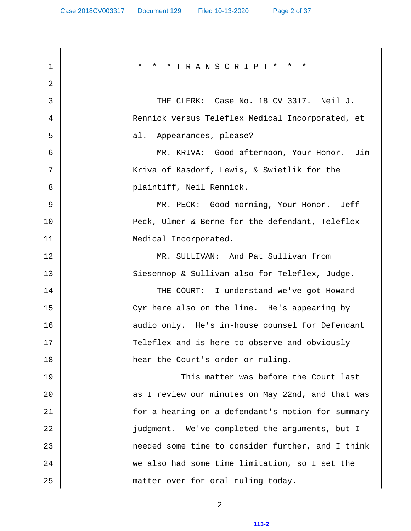| 1  | * * TRANSCRIPT* *<br>$\star$<br>$\star$           |
|----|---------------------------------------------------|
| 2  |                                                   |
| 3  | THE CLERK: Case No. 18 CV 3317. Neil J.           |
| 4  | Rennick versus Teleflex Medical Incorporated, et  |
| 5  | Appearances, please?<br>al.                       |
| 6  | MR. KRIVA: Good afternoon, Your Honor. Jim        |
| 7  | Kriva of Kasdorf, Lewis, & Swietlik for the       |
| 8  | plaintiff, Neil Rennick.                          |
| 9  | MR. PECK: Good morning, Your Honor. Jeff          |
| 10 | Peck, Ulmer & Berne for the defendant, Teleflex   |
| 11 | Medical Incorporated.                             |
| 12 | MR. SULLIVAN: And Pat Sullivan from               |
| 13 | Siesennop & Sullivan also for Teleflex, Judge.    |
| 14 | THE COURT: I understand we've got Howard          |
| 15 | Cyr here also on the line. He's appearing by      |
| 16 | audio only. He's in-house counsel for Defendant   |
| 17 | Teleflex and is here to observe and obviously     |
| 18 | hear the Court's order or ruling.                 |
| 19 | This matter was before the Court last             |
| 20 | as I review our minutes on May 22nd, and that was |
| 21 | for a hearing on a defendant's motion for summary |
| 22 | judgment. We've completed the arguments, but I    |
| 23 | needed some time to consider further, and I think |
| 24 | we also had some time limitation, so I set the    |
| 25 | matter over for oral ruling today.                |

2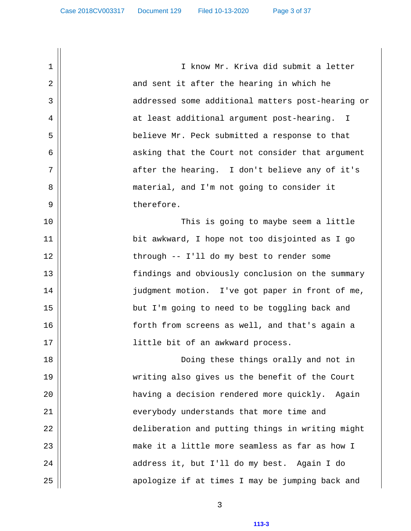1 || I know Mr. Kriva did submit a letter 2 and sent it after the hearing in which he 3 || addressed some additional matters post-hearing or 4 || at least additional argument post-hearing. I 5 believe Mr. Peck submitted a response to that 6 || asking that the Court not consider that argument  $7 \parallel$  after the hearing. I don't believe any of it's 8 || material, and I'm not going to consider it 9 || therefore. 10 This is going to maybe seem a little 11 bit awkward, I hope not too disjointed as I go 12 || through -- I'll do my best to render some 13 findings and obviously conclusion on the summary 14 || judgment motion. I've got paper in front of me, 15 but I'm going to need to be toggling back and 16 forth from screens as well, and that's again a 17 || little bit of an awkward process. 18 Doing these things orally and not in 19 writing also gives us the benefit of the Court 20 having a decision rendered more quickly. Again 21 || everybody understands that more time and 22 || deliberation and putting things in writing might 23 make it a little more seamless as far as how I 24 address it, but I'll do my best. Again I do 25 || apologize if at times I may be jumping back and

3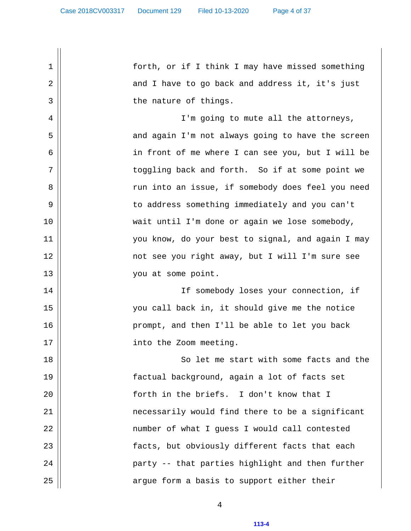1 forth, or if I think I may have missed something  $2 \parallel$  and I have to go back and address it, it's just 3 || the nature of things. 4 || I'm going to mute all the attorneys, 5 || and again I'm not always going to have the screen 6 in front of me where I can see you, but I will be 7 || toggling back and forth. So if at some point we 8 run into an issue, if somebody does feel you need 9 to address something immediately and you can't 10 || wait until I'm done or again we lose somebody, 11 you know, do your best to signal, and again I may 12 not see you right away, but I will I'm sure see 13 || vou at some point. 14 If somebody loses your connection, if 15 you call back in, it should give me the notice 16 prompt, and then I'll be able to let you back 17 || into the Zoom meeting. 18 || So let me start with some facts and the 19 factual background, again a lot of facts set 20 || forth in the briefs. I don't know that I 21 necessarily would find there to be a significant 22 || number of what I guess I would call contested 23 || facts, but obviously different facts that each 24 party -- that parties highlight and then further 25 argue form a basis to support either their

4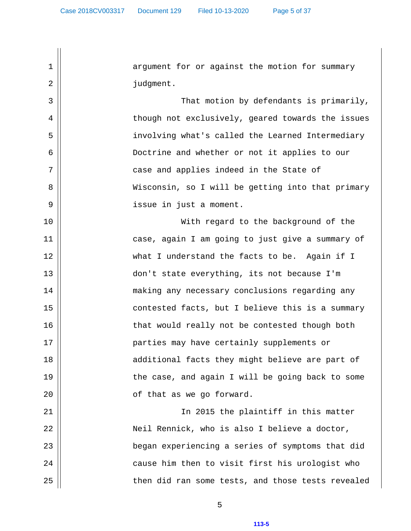1 || argument for or against the motion for summary 2 || contract in the budgment. 3 That motion by defendants is primarily, 4 | though not exclusively, geared towards the issues 5 involving what's called the Learned Intermediary 6 Doctrine and whether or not it applies to our  $7 \parallel$  case and applies indeed in the State of 8 Wisconsin, so I will be getting into that primary 9 || issue in just a moment. 10 With regard to the background of the 11 case, again I am going to just give a summary of 12 what I understand the facts to be. Again if I 13 don't state everything, its not because I'm 14 || making any necessary conclusions regarding any 15 || contested facts, but I believe this is a summary 16 || that would really not be contested though both 17 parties may have certainly supplements or 18 || additional facts they might believe are part of 19 || the case, and again I will be going back to some 20 || cf that as we go forward. 21 In 2015 the plaintiff in this matter 22 Neil Rennick, who is also I believe a doctor, 23 began experiencing a series of symptoms that did 24 || cause him then to visit first his urologist who 25 || then did ran some tests, and those tests revealed

5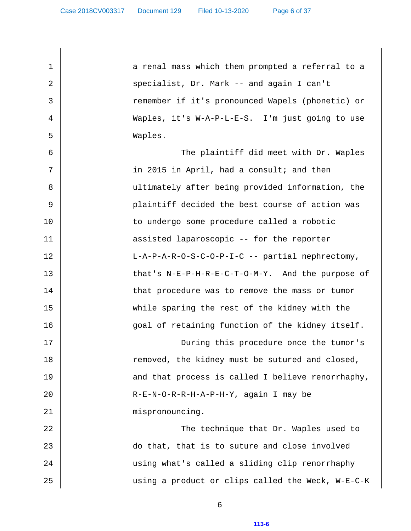1 || a renal mass which them prompted a referral to a 2 specialist, Dr. Mark -- and again I can't 3 remember if it's pronounced Wapels (phonetic) or 4 Waples, it's W-A-P-L-E-S. I'm just going to use 5 Waples. 6 The plaintiff did meet with Dr. Waples  $7 \parallel$  in 2015 in April, had a consult; and then 8 || ultimately after being provided information, the 9 plaintiff decided the best course of action was 10 to undergo some procedure called a robotic 11 || assisted laparoscopic -- for the reporter 12 L-A-P-A-R-O-S-C-O-P-I-C -- partial nephrectomy, 13 || that's N-E-P-H-R-E-C-T-O-M-Y. And the purpose of 14 | that procedure was to remove the mass or tumor 15 while sparing the rest of the kidney with the 16 goal of retaining function of the kidney itself. 17 During this procedure once the tumor's 18 || removed, the kidney must be sutured and closed, 19 || and that process is called I believe renorrhaphy, 20 R-E-N-O-R-R-H-A-P-H-Y, again I may be 21 || mispronouncing. 22 The technique that Dr. Waples used to 23 || do that, that is to suture and close involved 24 using what's called a sliding clip renorrhaphy 25 using a product or clips called the Weck, W-E-C-K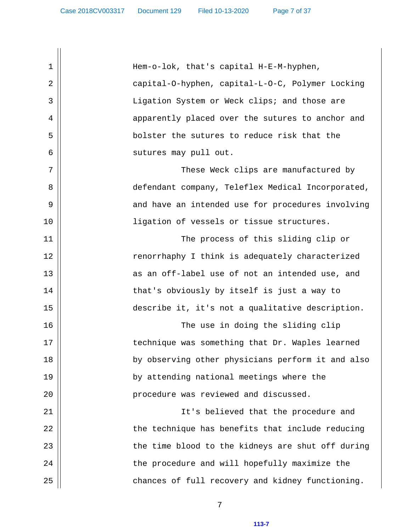1 Hem-o-lok, that's capital H-E-M-hyphen, 2 capital-O-hyphen, capital-L-O-C, Polymer Locking 3 || Ligation System or Weck clips; and those are 4 || apparently placed over the sutures to anchor and 5 bolster the sutures to reduce risk that the 6 || sutures may pull out. 7 These Weck clips are manufactured by 8 defendant company, Teleflex Medical Incorporated, 9 || and have an intended use for procedures involving 10 ligation of vessels or tissue structures. 11 The process of this sliding clip or 12 || renorrhaphy I think is adequately characterized 13 || as an off-label use of not an intended use, and 14 || that's obviously by itself is just a way to 15 describe it, it's not a qualitative description. 16 The use in doing the sliding clip 17 || technique was something that Dr. Waples learned 18 by observing other physicians perform it and also 19 by attending national meetings where the 20 | end is procedure was reviewed and discussed. 21 || It's believed that the procedure and  $22$   $\parallel$  the technique has benefits that include reducing  $23$   $\parallel$  the time blood to the kidneys are shut off during 24 || the procedure and will hopefully maximize the 25 || chances of full recovery and kidney functioning.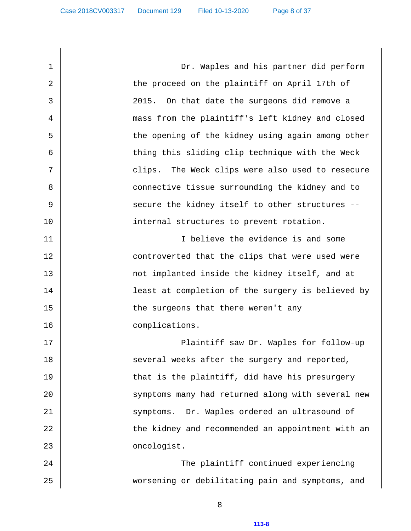1 Dr. Waples and his partner did perform 2 || the proceed on the plaintiff on April 17th of 3 2015. On that date the surgeons did remove a 4 mass from the plaintiff's left kidney and closed 5 || the opening of the kidney using again among other 6 || thing this sliding clip technique with the Weck 7 clips. The Weck clips were also used to resecure 8 || connective tissue surrounding the kidney and to 9 secure the kidney itself to other structures -- 10 || internal structures to prevent rotation. 11 || I believe the evidence is and some 12 || controverted that the clips that were used were 13 || not implanted inside the kidney itself, and at 14 || least at completion of the surgery is believed by 15 || the surgeons that there weren't any 16 || complications. 17 Plaintiff saw Dr. Waples for follow-up 18 || several weeks after the surgery and reported, 19 || that is the plaintiff, did have his presurgery 20 || symptoms many had returned along with several new 21 symptoms. Dr. Waples ordered an ultrasound of 22 || the kidney and recommended an appointment with an 23 || concologist. 24 The plaintiff continued experiencing 25 worsening or debilitating pain and symptoms, and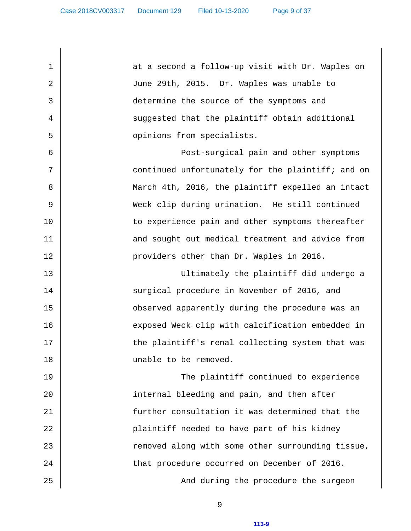1 || at a second a follow-up visit with Dr. Waples on 2 June 29th, 2015. Dr. Waples was unable to 3 determine the source of the symptoms and  $4 \parallel$  suggested that the plaintiff obtain additional 5 || opinions from specialists. 6 Post-surgical pain and other symptoms  $7 \parallel$  continued unfortunately for the plaintiff; and on 8 || March 4th, 2016, the plaintiff expelled an intact 9 Weck clip during urination. He still continued 10 || to experience pain and other symptoms thereafter 11 || and sought out medical treatment and advice from 12 providers other than Dr. Waples in 2016. 13 Ultimately the plaintiff did undergo a 14 || surgical procedure in November of 2016, and 15 || observed apparently during the procedure was an 16 || exposed Weck clip with calcification embedded in 17 || the plaintiff's renal collecting system that was 18 || unable to be removed. 19 The plaintiff continued to experience 20 || internal bleeding and pain, and then after 21 || [ Statuble 1 of the consultation it was determined that the 22 || plaintiff needed to have part of his kidney 23 || The moved along with some other surrounding tissue, 24 || that procedure occurred on December of 2016. 25 And during the procedure the surgeon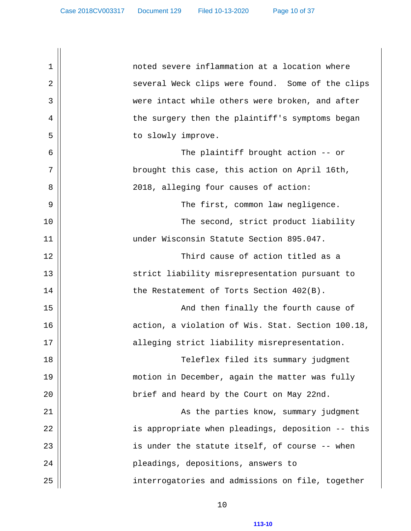1 noted severe inflammation at a location where 2 several Weck clips were found. Some of the clips 3 || were intact while others were broken, and after 4 || the surgery then the plaintiff's symptoms began 5 || to slowly improve. 6 The plaintiff brought action -- or 7 || brought this case, this action on April 16th, 8 2018, alleging four causes of action: 9 The first, common law negligence. 10 The second, strict product liability 11 under Wisconsin Statute Section 895.047. 12 Third cause of action titled as a 13 || strict liability misrepresentation pursuant to 14 | the Restatement of Torts Section 402(B). 15 And then finally the fourth cause of 16 || action, a violation of Wis. Stat. Section 100.18, 17 || alleging strict liability misrepresentation. 18 Teleflex filed its summary judgment 19 motion in December, again the matter was fully 20 || brief and heard by the Court on May 22nd. 21 As the parties know, summary judgment 22 is appropriate when pleadings, deposition -- this  $23$  ||  $\qquad \qquad$  is under the statute itself, of course -- when 24 pleadings, depositions, answers to 25 interrogatories and admissions on file, together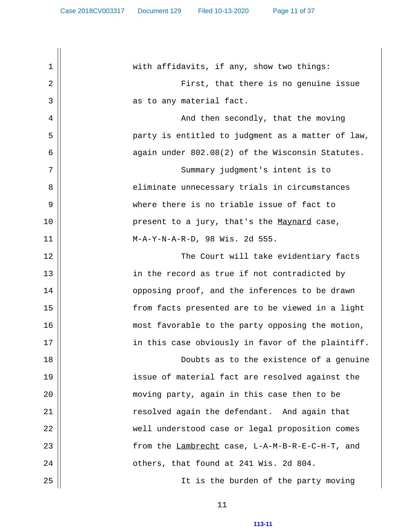1 | with affidavits, if any, show two things: 2 First, that there is no genuine issue 3 as to any material fact. 4 | And then secondly, that the moving 5 party is entitled to judgment as a matter of law,  $6 \parallel$  again under  $802.08(2)$  of the Wisconsin Statutes. 7 || Summary judgment's intent is to 8 || eliminate unnecessary trials in circumstances 9 where there is no triable issue of fact to 10 || present to a jury, that's the Maynard case, 11 M-A-Y-N-A-R-D, 98 Wis. 2d 555. 12 The Court will take evidentiary facts 13 || in the record as true if not contradicted by 14 || opposing proof, and the inferences to be drawn 15 from facts presented are to be viewed in a light 16 most favorable to the party opposing the motion,  $17$  ||  $\qquad \qquad$  in this case obviously in favor of the plaintiff. 18 Doubts as to the existence of a genuine 19 issue of material fact are resolved against the 20 moving party, again in this case then to be 21 resolved again the defendant. And again that 22 | well understood case or legal proposition comes 23 from the Lambrecht case, L-A-M-B-R-E-C-H-T, and  $24$   $\parallel$   $\qquad$  others, that found at 241 Wis. 2d 804. 25 || It is the burden of the party moving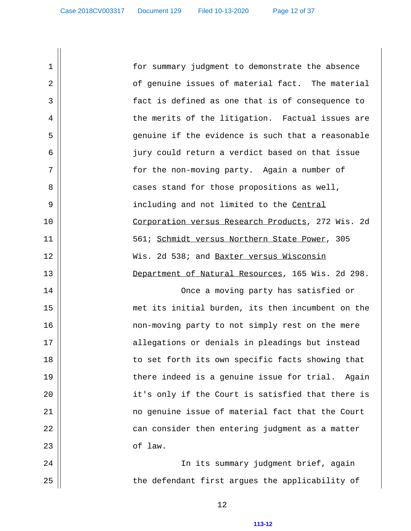1 for summary judgment to demonstrate the absence 2 || of genuine issues of material fact. The material 3 fact is defined as one that is of consequence to 4 || the merits of the litigation. Factual issues are 5 genuine if the evidence is such that a reasonable 6 jury could return a verdict based on that issue 7 for the non-moving party. Again a number of 8 || cases stand for those propositions as well, 9 || including and not limited to the Central 10 || Corporation versus Research Products, 272 Wis. 2d 11 561; Schmidt versus Northern State Power, 305 12 Wis. 2d 538; and Baxter versus Wisconsin 13 Department of Natural Resources, 165 Wis. 2d 298. 14 Once a moving party has satisfied or 15 met its initial burden, its then incumbent on the 16 non-moving party to not simply rest on the mere 17 || allegations or denials in pleadings but instead 18 || to set forth its own specific facts showing that 19 || there indeed is a genuine issue for trial. Again 20 || it's only if the Court is satisfied that there is 21 no genuine issue of material fact that the Court 22 can consider then entering judgment as a matter

 $23$   $\parallel$  of law.

24 || In its summary judgment brief, again 25 || the defendant first argues the applicability of

12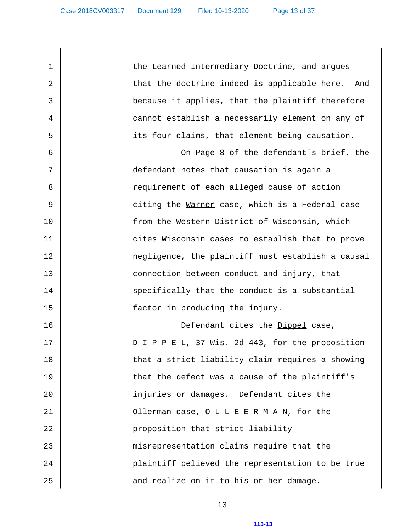1 the Learned Intermediary Doctrine, and argues 2 || that the doctrine indeed is applicable here. And 3 because it applies, that the plaintiff therefore 4 | cannot establish a necessarily element on any of 5 its four claims, that element being causation. 6 On Page 8 of the defendant's brief, the  $7 \parallel$  defendant notes that causation is again a 8 || requirement of each alleged cause of action 9 citing the Warner case, which is a Federal case 10 || from the Western District of Wisconsin, which 11 || cites Wisconsin cases to establish that to prove 12 negligence, the plaintiff must establish a causal 13 || connection between conduct and injury, that 14 || specifically that the conduct is a substantial 15 || factor in producing the injury. 16 Defendant cites the Dippel case, 17 || D-I-P-P-E-L, 37 Wis. 2d 443, for the proposition 18 || that a strict liability claim requires a showing 19 || that the defect was a cause of the plaintiff's 20 injuries or damages. Defendant cites the 21 Ollerman case, O-L-L-E-E-R-M-A-N, for the 22 || proposition that strict liability 23 || misrepresentation claims require that the 24 plaintiff believed the representation to be true  $25$   $\parallel$  and realize on it to his or her damage.

13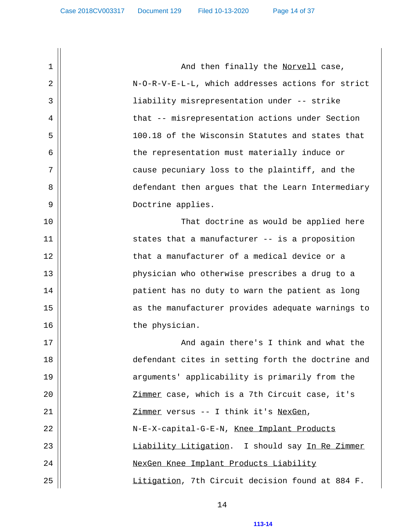1 And then finally the Norvell case, 2 N-O-R-V-E-L-L, which addresses actions for strict 3 liability misrepresentation under -- strike 4 | that -- misrepresentation actions under Section 5 100.18 of the Wisconsin Statutes and states that 6 || the representation must materially induce or  $7 \parallel$  cause pecuniary loss to the plaintiff, and the 8 defendant then argues that the Learn Intermediary 9 || Doctrine applies. 10 That doctrine as would be applied here  $11$   $\parallel$  states that a manufacturer -- is a proposition 12 || that a manufacturer of a medical device or a 13 physician who otherwise prescribes a drug to a 14 || patient has no duty to warn the patient as long 15 || as the manufacturer provides adequate warnings to 16 || the physician. 17 And again there's I think and what the 18 defendant cites in setting forth the doctrine and 19 || arguments' applicability is primarily from the 20 || Zimmer case, which is a 7th Circuit case, it's 21 Zimmer versus -- I think it's NexGen, 22 N-E-X-capital-G-E-N, Knee Implant Products 23 || Liability Litigation. I should say In Re Zimmer 24 || NexGen Knee Implant Products Liability 25 || Litigation, 7th Circuit decision found at 884 F.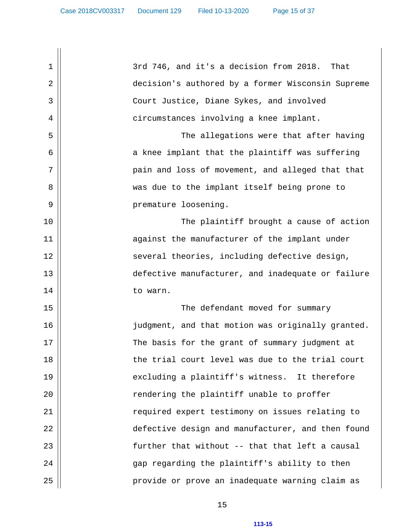$1 \parallel$  3rd 746, and it's a decision from 2018. That 2 decision's authored by a former Wisconsin Supreme 3 Court Justice, Diane Sykes, and involved 4 | circumstances involving a knee implant. 5 The allegations were that after having 6 || a knee implant that the plaintiff was suffering 7 pain and loss of movement, and alleged that that 8 was due to the implant itself being prone to 9 || premature loosening. 10 The plaintiff brought a cause of action 11 || against the manufacturer of the implant under 12 || several theories, including defective design, 13 defective manufacturer, and inadequate or failure 14 || to warn. 15 The defendant moved for summary 16 judgment, and that motion was originally granted. 17 || The basis for the grant of summary judgment at 18 || the trial court level was due to the trial court 19 || excluding a plaintiff's witness. It therefore 20 || rendering the plaintiff unable to proffer 21 || required expert testimony on issues relating to 22 defective design and manufacturer, and then found  $23$   $\parallel$  further that without -- that that left a causal 24 gap regarding the plaintiff's ability to then 25 || provide or prove an inadequate warning claim as

15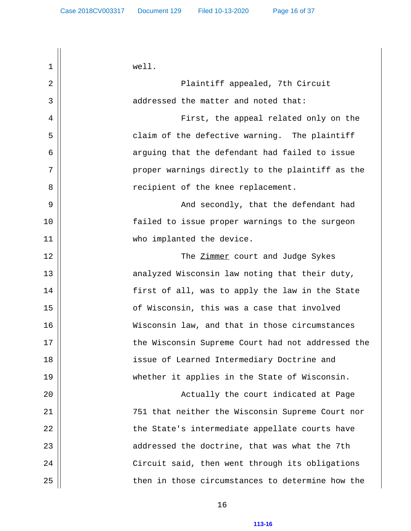1 well. 2 Plaintiff appealed, 7th Circuit 3 addressed the matter and noted that: 4 First, the appeal related only on the 5 claim of the defective warning. The plaintiff 6 || arguing that the defendant had failed to issue  $7 \parallel$  proper warnings directly to the plaintiff as the 8 || recipient of the knee replacement. 9 And secondly, that the defendant had 10 || [contracted to issue proper warnings to the surgeon 11 || who implanted the device. 12 The Zimmer court and Judge Sykes 13 || analyzed Wisconsin law noting that their duty, 14 || first of all, was to apply the law in the State 15 || of Wisconsin, this was a case that involved 16 Wisconsin law, and that in those circumstances 17 || the Wisconsin Supreme Court had not addressed the 18 issue of Learned Intermediary Doctrine and 19 whether it applies in the State of Wisconsin. 20 Actually the court indicated at Page 21 751 that neither the Wisconsin Supreme Court nor 22 || the State's intermediate appellate courts have  $23$   $\parallel$  addressed the doctrine, that was what the 7th 24 Circuit said, then went through its obligations 25 || then in those circumstances to determine how the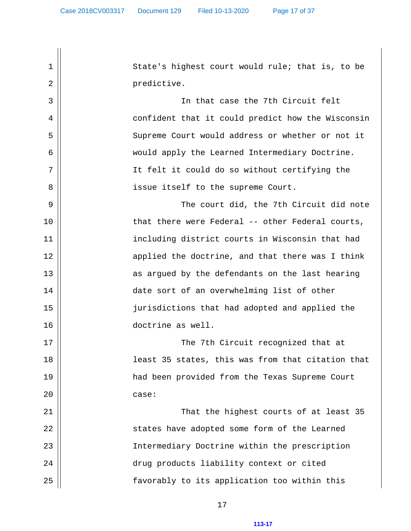1 || State's highest court would rule; that is, to be 2 || expredictive. 3 In that case the 7th Circuit felt 4 || confident that it could predict how the Wisconsin 5 || Supreme Court would address or whether or not it 6 would apply the Learned Intermediary Doctrine. 7 || It felt it could do so without certifying the 8 || issue itself to the supreme Court. 9 The court did, the 7th Circuit did note 10 || that there were Federal -- other Federal courts, 11 including district courts in Wisconsin that had 12 || applied the doctrine, and that there was I think 13 || as argued by the defendants on the last hearing 14 date sort of an overwhelming list of other 15 jurisdictions that had adopted and applied the 16 doctrine as well. 17 The 7th Circuit recognized that at 18 || least 35 states, this was from that citation that 19 had been provided from the Texas Supreme Court  $20$  || case: 21 That the highest courts of at least 35 22 || states have adopted some form of the Learned 23 Intermediary Doctrine within the prescription 24 || drug products liability context or cited 25 || favorably to its application too within this

17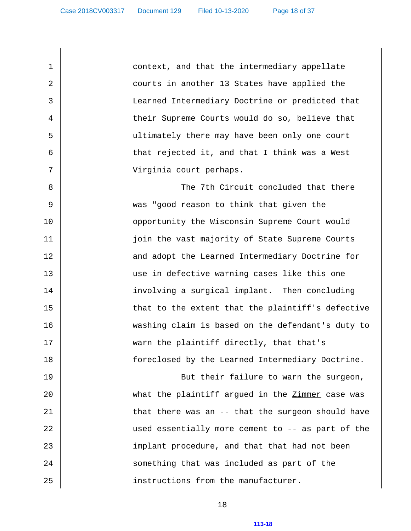1 | context, and that the intermediary appellate 2 courts in another 13 States have applied the 3 Learned Intermediary Doctrine or predicted that 4 their Supreme Courts would do so, believe that 5 ultimately there may have been only one court 6 that rejected it, and that I think was a West 7 Virginia court perhaps.

 8 The 7th Circuit concluded that there 9 was "good reason to think that given the 10 || opportunity the Wisconsin Supreme Court would 11 join the vast majority of State Supreme Courts 12 || and adopt the Learned Intermediary Doctrine for 13 || use in defective warning cases like this one 14 || involving a surgical implant. Then concluding 15 || that to the extent that the plaintiff's defective 16 washing claim is based on the defendant's duty to 17 || warn the plaintiff directly, that that's 18 foreclosed by the Learned Intermediary Doctrine.

19 || But their failure to warn the surgeon, 20 what the plaintiff argued in the Zimmer case was 21 || that there was an -- that the surgeon should have 22 || used essentially more cement to -- as part of the 23 || implant procedure, and that that had not been 24 || something that was included as part of the 25 instructions from the manufacturer.

18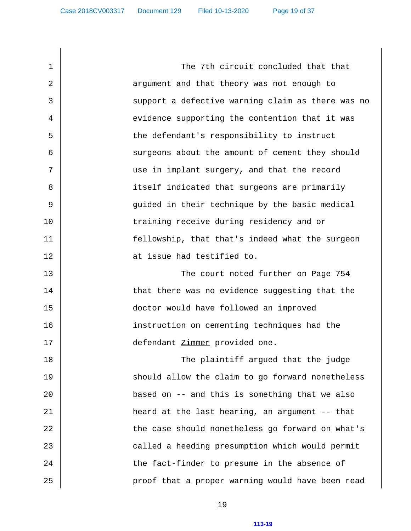1 | The 7th circuit concluded that that 2 || argument and that theory was not enough to 3 || support a defective warning claim as there was no 4 || evidence supporting the contention that it was 5 || the defendant's responsibility to instruct 6 || surgeons about the amount of cement they should 7 || use in implant surgery, and that the record 8 || itself indicated that surgeons are primarily 9 guided in their technique by the basic medical 10 training receive during residency and or 11 fellowship, that that's indeed what the surgeon 12 || The local contract issue had testified to. 13 The court noted further on Page 754 14 || that there was no evidence suggesting that the 15 doctor would have followed an improved 16 instruction on cementing techniques had the 17 || defendant Zimmer provided one. 18 The plaintiff argued that the judge 19 || should allow the claim to go forward nonetheless 20 based on -- and this is something that we also 21 heard at the last hearing, an argument -- that 22 the case should nonetheless go forward on what's 23 || called a heeding presumption which would permit 24 the fact-finder to presume in the absence of 25 proof that a proper warning would have been read

19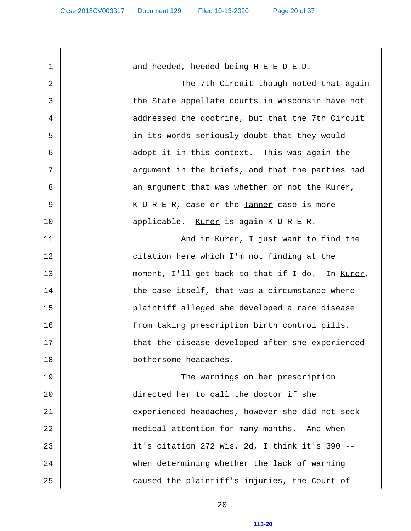1 || and heeded, heeded being H-E-E-D-E-D. 2 The 7th Circuit though noted that again 3 || the State appellate courts in Wisconsin have not 4 | addressed the doctrine, but that the 7th Circuit 5 in its words seriously doubt that they would 6 || adopt it in this context. This was again the  $7 \parallel$  argument in the briefs, and that the parties had 8 || an argument that was whether or not the Kurer, 9 K-U-R-E-R, case or the Tanner case is more 10 applicable. Kurer is again K-U-R-E-R. 11 And in Kurer, I just want to find the 12 || citation here which I'm not finding at the 13 || moment, I'll get back to that if I do. In Kurer, 14 || the case itself, that was a circumstance where 15 plaintiff alleged she developed a rare disease 16 from taking prescription birth control pills, 17 || that the disease developed after she experienced 18 bothersome headaches. 19 The warnings on her prescription 20 directed her to call the doctor if she 21 || experienced headaches, however she did not seek 22 || medical attention for many months. And when -- 23 it's citation 272 Wis. 2d, I think it's 390 -- 24 when determining whether the lack of warning 25 caused the plaintiff's injuries, the Court of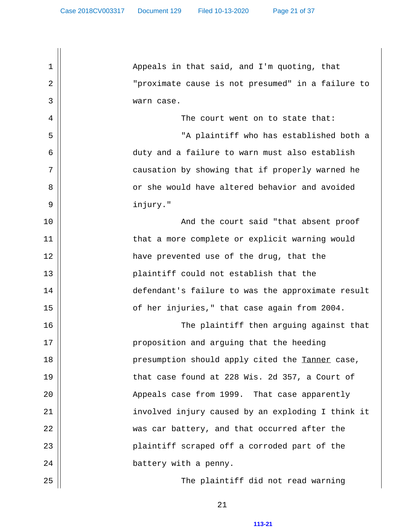1 || Appeals in that said, and I'm quoting, that 2 "proximate cause is not presumed" in a failure to 3 warn case. 4 The court went on to state that: 5 "A plaintiff who has established both a 6 duty and a failure to warn must also establish 7 || causation by showing that if properly warned he 8 || or she would have altered behavior and avoided 9 injury." 10 || And the court said "that absent proof 11 || that a more complete or explicit warning would 12 have prevented use of the drug, that the 13 || plaintiff could not establish that the 14 || defendant's failure to was the approximate result 15 || of her injuries," that case again from 2004. 16 The plaintiff then arguing against that 17 || **proposition and arguing that the heeding** 18 || presumption should apply cited the Tanner case,  $19$   $\parallel$  that case found at 228 Wis. 2d 357, a Court of 20 || Appeals case from 1999. That case apparently 21 involved injury caused by an exploding I think it 22 || was car battery, and that occurred after the 23 || plaintiff scraped off a corroded part of the 24 || battery with a penny. 25 The plaintiff did not read warning

21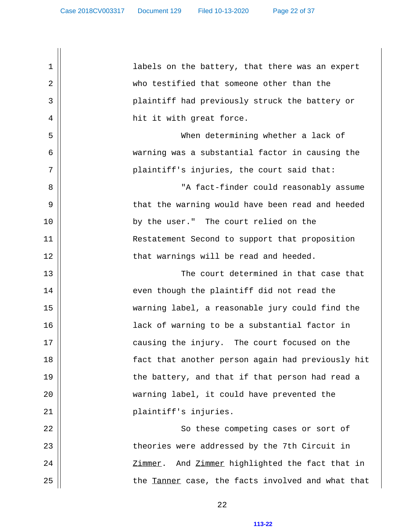1 || labels on the battery, that there was an expert 2 who testified that someone other than the 3 plaintiff had previously struck the battery or 4 || hit it with great force. 5 When determining whether a lack of 6 warning was a substantial factor in causing the 7 || plaintiff's injuries, the court said that: 8 || "A fact-finder could reasonably assume 9 that the warning would have been read and heeded 10 by the user." The court relied on the 11 | Restatement Second to support that proposition 12 || that warnings will be read and heeded. 13 The court determined in that case that 14 || even though the plaintiff did not read the 15 warning label, a reasonable jury could find the 16 || lack of warning to be a substantial factor in 17 || causing the injury. The court focused on the 18 fact that another person again had previously hit 19 || the battery, and that if that person had read a 20 warning label, it could have prevented the 21 || plaintiff's injuries. 22 So these competing cases or sort of 23 || theories were addressed by the 7th Circuit in 24 Zimmer. And Zimmer highlighted the fact that in  $25$   $\parallel$  the Tanner case, the facts involved and what that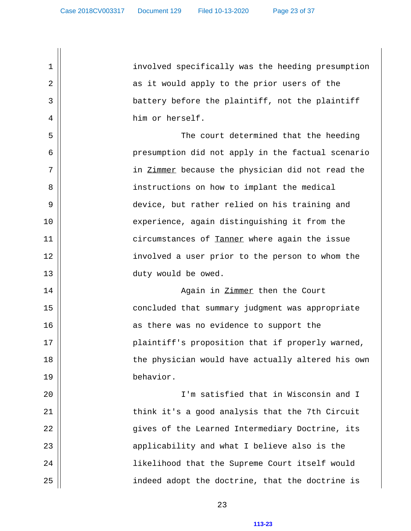1 involved specifically was the heeding presumption 2 || as it would apply to the prior users of the 3 || battery before the plaintiff, not the plaintiff 4 him or herself. 5 The court determined that the heeding 6 presumption did not apply in the factual scenario  $7 \parallel$  in Zimmer because the physician did not read the 8 || instructions on how to implant the medical 9 device, but rather relied on his training and 10 || experience, again distinguishing it from the 11 | circumstances of Tanner where again the issue 12 || involved a user prior to the person to whom the 13 || duty would be owed. 14 || Again in <u>Zimmer</u> then the Court 15 || concluded that summary judgment was appropriate 16 || as there was no evidence to support the 17 || plaintiff's proposition that if properly warned, 18 || the physician would have actually altered his own 19 behavior. 20 I'm satisfied that in Wisconsin and I 21 || think it's a good analysis that the 7th Circuit 22 gives of the Learned Intermediary Doctrine, its 23  $\parallel$  applicability and what I believe also is the 24 likelihood that the Supreme Court itself would 25 || indeed adopt the doctrine, that the doctrine is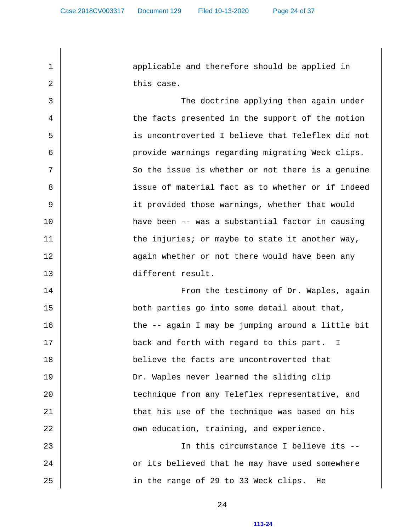1 || applicable and therefore should be applied in 2 || this case.

 3 The doctrine applying then again under 4 | the facts presented in the support of the motion 5 is uncontroverted I believe that Teleflex did not 6 || provide warnings regarding migrating Weck clips.  $7 \parallel$  So the issue is whether or not there is a genuine 8 || issue of material fact as to whether or if indeed 9 || it provided those warnings, whether that would 10 have been -- was a substantial factor in causing  $11$  || the injuries; or maybe to state it another way, 12 || again whether or not there would have been any 13 different result.

 14 From the testimony of Dr. Waples, again 15 both parties go into some detail about that, 16 || the -- again I may be jumping around a little bit 17 || back and forth with regard to this part. I 18 believe the facts are uncontroverted that 19 Dr. Waples never learned the sliding clip 20 || technique from any Teleflex representative, and 21 || that his use of the technique was based on his 22 own education, training, and experience. 23 In this circumstance I believe its --

24 || or its believed that he may have used somewhere 25 || in the range of 29 to 33 Weck clips. He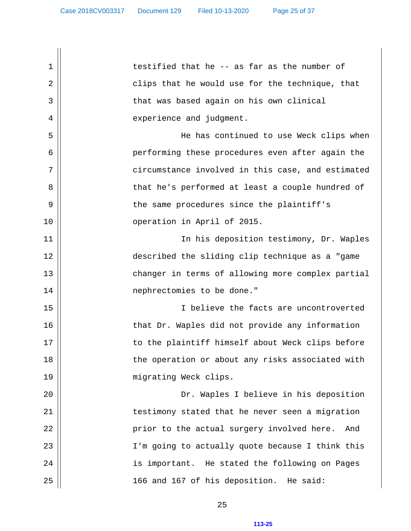$1 \parallel$  testified that he -- as far as the number of 2 clips that he would use for the technique, that 3 that was based again on his own clinical 4 | experience and judgment. 5 He has continued to use Weck clips when 6 performing these procedures even after again the  $7 \parallel$  circumstance involved in this case, and estimated 8 || that he's performed at least a couple hundred of 9 || the same procedures since the plaintiff's 10 operation in April of 2015. 11 || In his deposition testimony, Dr. Waples 12 described the sliding clip technique as a "game 13 || changer in terms of allowing more complex partial 14 || **nephrectomies** to be done." 15 I believe the facts are uncontroverted 16 || that Dr. Waples did not provide any information 17 || to the plaintiff himself about Weck clips before 18 || the operation or about any risks associated with 19 || migrating Weck clips. 20 Dr. Waples I believe in his deposition 21 || testimony stated that he never seen a migration 22 || prior to the actual surgery involved here. And 23 || I'm going to actually quote because I think this 24 || is important. He stated the following on Pages 25 || 166 and 167 of his deposition. He said: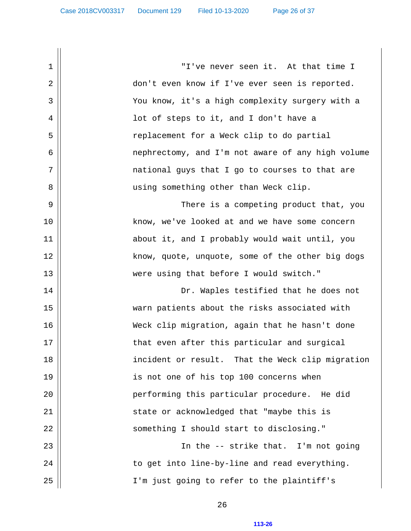1 "I've never seen it. At that time I 2 don't even know if I've ever seen is reported. 3 You know, it's a high complexity surgery with a 4 lot of steps to it, and I don't have a 5 || replacement for a Weck clip to do partial 6 nephrectomy, and I'm not aware of any high volume  $7 \parallel$  national guys that I go to courses to that are 8 || using something other than Weck clip. 9 There is a competing product that, you 10 || know, we've looked at and we have some concern 11 || about it, and I probably would wait until, you 12 || know, quote, unquote, some of the other big dogs 13 were using that before I would switch." 14 Dr. Waples testified that he does not 15 warn patients about the risks associated with 16 Weck clip migration, again that he hasn't done 17 that even after this particular and surgical 18 incident or result. That the Weck clip migration 19 || is not one of his top 100 concerns when 20 performing this particular procedure. He did 21 state or acknowledged that "maybe this is 22 || something I should start to disclosing." 23 || In the -- strike that. I'm not going  $24$   $\parallel$   $\qquad$  to get into line-by-line and read everything. 25 || I'm just going to refer to the plaintiff's

26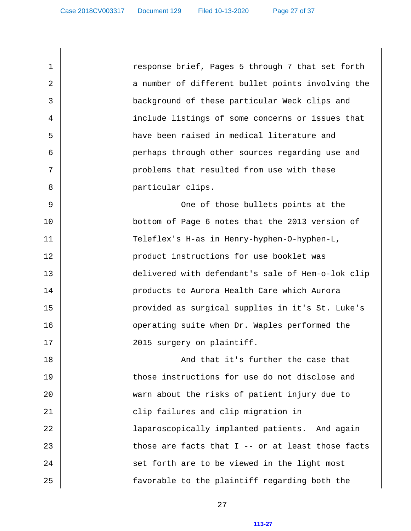1 response brief, Pages 5 through 7 that set forth 2 || a number of different bullet points involving the 3 background of these particular Weck clips and 4 | include listings of some concerns or issues that 5 have been raised in medical literature and 6 perhaps through other sources regarding use and 7 || problems that resulted from use with these 8 || particular clips. 9 One of those bullets points at the 10 bottom of Page 6 notes that the 2013 version of 11 Teleflex's H-as in Henry-hyphen-O-hyphen-L, 12 || product instructions for use booklet was 13 delivered with defendant's sale of Hem-o-lok clip 14 | Products to Aurora Health Care which Aurora 15 provided as surgical supplies in it's St. Luke's 16 || operating suite when Dr. Waples performed the 17 || 2015 surgery on plaintiff. 18 || And that it's further the case that 19 || those instructions for use do not disclose and 20 || warn about the risks of patient injury due to 21 || clip failures and clip migration in 22 || laparoscopically implanted patients. And again 23  $\parallel$  those are facts that I -- or at least those facts

27

 $24$   $\parallel$  set forth are to be viewed in the light most

25 || favorable to the plaintiff regarding both the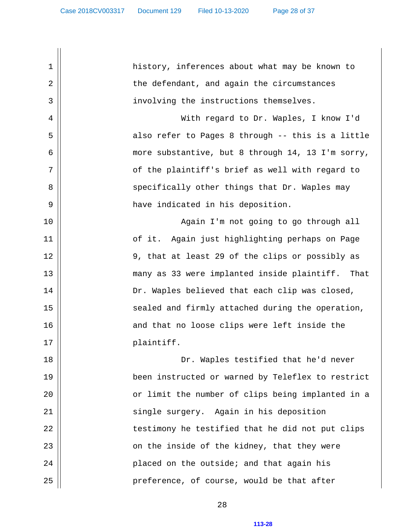1 || history, inferences about what may be known to 2 || the defendant, and again the circumstances 3 involving the instructions themselves. 4 With regard to Dr. Waples, I know I'd 5 also refer to Pages 8 through -- this is a little 6 more substantive, but 8 through 14, 13 I'm sorry, 7 || of the plaintiff's brief as well with regard to 8 specifically other things that Dr. Waples may 9 have indicated in his deposition. 10 || Again I'm not going to go through all 11 of it. Again just highlighting perhaps on Page 12 || 9, that at least 29 of the clips or possibly as 13 many as 33 were implanted inside plaintiff. That 14 Dr. Waples believed that each clip was closed, 15 || sealed and firmly attached during the operation, 16 || and that no loose clips were left inside the 17 || plaintiff. 18 Dr. Waples testified that he'd never 19 been instructed or warned by Teleflex to restrict 20 or limit the number of clips being implanted in a 21 || single surgery. Again in his deposition 22 || testimony he testified that he did not put clips  $23$  ||  $\Box$  on the inside of the kidney, that they were 24 placed on the outside; and that again his 25 preference, of course, would be that after

28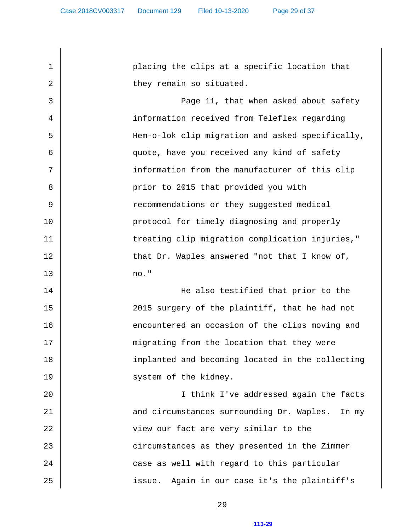1 placing the clips at a specific location that 2 || they remain so situated. 3 Page 11, that when asked about safety 4 information received from Teleflex regarding 5 Hem-o-lok clip migration and asked specifically, 6 quote, have you received any kind of safety 7 || information from the manufacturer of this clip 8 || prior to 2015 that provided you with 9 | recommendations or they suggested medical 10 protocol for timely diagnosing and properly 11 || treating clip migration complication injuries," 12 || that Dr. Waples answered "not that I know of, 13 no." 14 He also testified that prior to the 15 2015 surgery of the plaintiff, that he had not 16 || encountered an occasion of the clips moving and 17 || migrating from the location that they were 18 || implanted and becoming located in the collecting 19 || system of the kidney. 20 I think I've addressed again the facts 21 and circumstances surrounding Dr. Waples. In my 22 || view our fact are very similar to the 23  $\parallel$  circumstances as they presented in the Zimmer 24 case as well with regard to this particular 25 || issue. Again in our case it's the plaintiff's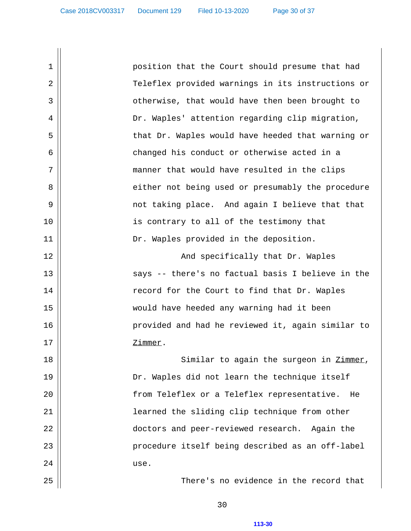1 position that the Court should presume that had 2 Teleflex provided warnings in its instructions or 3 || otherwise, that would have then been brought to 4 | Nor. Waples' attention regarding clip migration, 5 || that Dr. Waples would have heeded that warning or 6 changed his conduct or otherwise acted in a 7 || manner that would have resulted in the clips 8 || either not being used or presumably the procedure 9 not taking place. And again I believe that that 10 || is contrary to all of the testimony that 11 || Dr. Waples provided in the deposition. 12 || And specifically that Dr. Waples 13 says -- there's no factual basis I believe in the 14 || record for the Court to find that Dr. Waples 15 would have heeded any warning had it been 16 provided and had he reviewed it, again similar to 17 || Zimmer. 18 || Similar to again the surgeon in Zimmer, 19 Dr. Waples did not learn the technique itself 20 || from Teleflex or a Teleflex representative. He 21 || learned the sliding clip technique from other 22 doctors and peer-reviewed research. Again the 23 || procedure itself being described as an off-label  $24$  || use. 25 There's no evidence in the record that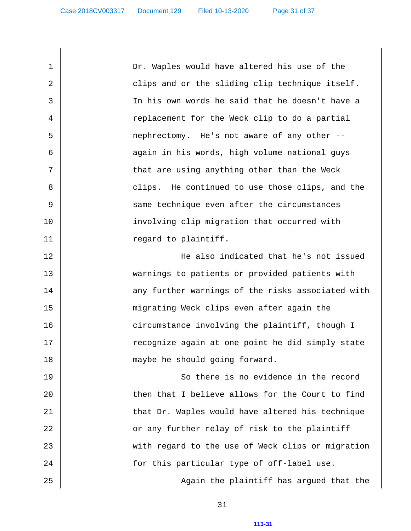1 Dr. Waples would have altered his use of the 2 || clips and or the sliding clip technique itself. 3 In his own words he said that he doesn't have a 4 | replacement for the Weck clip to do a partial 5 nephrectomy. He's not aware of any other -- 6 || again in his words, high volume national guys  $7 \parallel$  that are using anything other than the Weck 8 clips. He continued to use those clips, and the 9 || same technique even after the circumstances 10 || involving clip migration that occurred with 11 || regard to plaintiff. 12 He also indicated that he's not issued 13 warnings to patients or provided patients with 14 || any further warnings of the risks associated with 15 migrating Weck clips even after again the 16 || circumstance involving the plaintiff, though I 17 || recognize again at one point he did simply state 18 || maybe he should going forward. 19 || So there is no evidence in the record 20 | Then that I believe allows for the Court to find 21 || that Dr. Waples would have altered his technique 22 || or any further relay of risk to the plaintiff 23 || with regard to the use of Weck clips or migration 24 for this particular type of off-label use. 25 Again the plaintiff has argued that the

31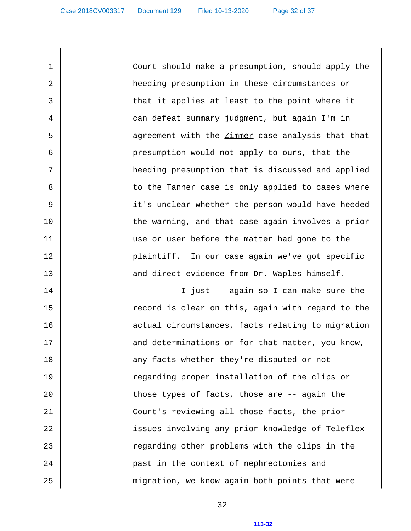1 || Court should make a presumption, should apply the 2 heeding presumption in these circumstances or 3 || that it applies at least to the point where it 4 can defeat summary judgment, but again I'm in 5 || agreement with the Zimmer case analysis that that 6 presumption would not apply to ours, that the 7 || heeding presumption that is discussed and applied 8 || to the Tanner case is only applied to cases where 9 it's unclear whether the person would have heeded 10 || the warning, and that case again involves a prior 11 || use or user before the matter had gone to the 12 plaintiff. In our case again we've got specific 13 || and direct evidence from Dr. Waples himself. 14 || I just -- again so I can make sure the

15 || record is clear on this, again with regard to the 16 || actual circumstances, facts relating to migration  $17$   $\parallel$  and determinations or for that matter, you know, 18 || any facts whether they're disputed or not 19 || regarding proper installation of the clips or 20 || those types of facts, those are -- again the 21 Court's reviewing all those facts, the prior 22 || issues involving any prior knowledge of Teleflex 23 || regarding other problems with the clips in the 24 past in the context of nephrectomies and 25 || migration, we know again both points that were

32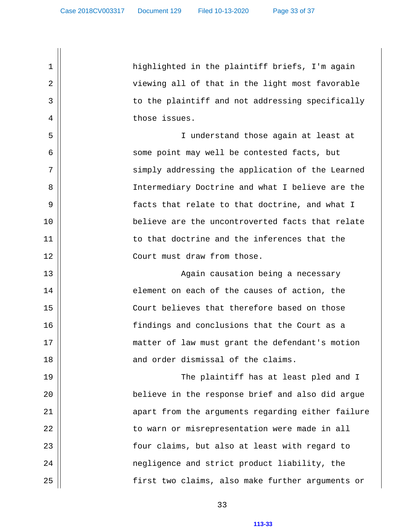1 || highlighted in the plaintiff briefs, I'm again 2 || viewing all of that in the light most favorable 3 || to the plaintiff and not addressing specifically 4 | those issues. 5 I understand those again at least at 6 some point may well be contested facts, but 7 || simply addressing the application of the Learned 8 Intermediary Doctrine and what I believe are the 9 || facts that relate to that doctrine, and what I 10 believe are the uncontroverted facts that relate 11 to that doctrine and the inferences that the 12 Court must draw from those. 13 || Again causation being a necessary 14 || element on each of the causes of action, the 15 Court believes that therefore based on those 16 findings and conclusions that the Court as a 17 || matter of law must grant the defendant's motion 18 || and order dismissal of the claims. 19 The plaintiff has at least pled and I 20 believe in the response brief and also did argue 21 apart from the arguments regarding either failure 22 || to warn or misrepresentation were made in all 23 || four claims, but also at least with regard to 24 negligence and strict product liability, the 25 || first two claims, also make further arguments or

33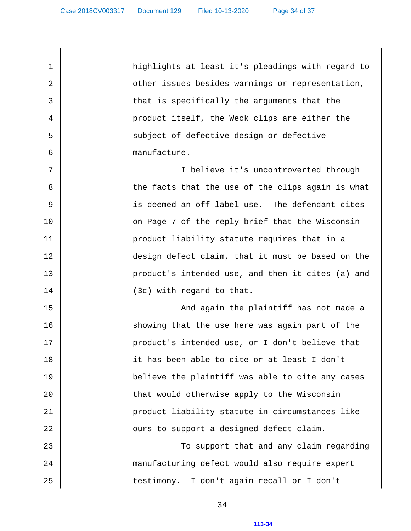1 || highlights at least it's pleadings with regard to 2 || other issues besides warnings or representation, 3 || that is specifically the arguments that the 4 || product itself, the Weck clips are either the 5 || subject of defective design or defective 6 manufacture. 7 || I believe it's uncontroverted through 8 || the facts that the use of the clips again is what 9 is deemed an off-label use. The defendant cites 10 || on Page 7 of the reply brief that the Wisconsin 11 product liability statute requires that in a 12 design defect claim, that it must be based on the 13 product's intended use, and then it cites (a) and  $14$  ||  $(3c)$  with regard to that. 15 And again the plaintiff has not made a 16 || showing that the use here was again part of the 17 || product's intended use, or I don't believe that 18 || it has been able to cite or at least I don't 19 believe the plaintiff was able to cite any cases 20 || that would otherwise apply to the Wisconsin 21 product liability statute in circumstances like 22 || ours to support a designed defect claim. 23 To support that and any claim regarding 24 manufacturing defect would also require expert 25 || testimony. I don't again recall or I don't

34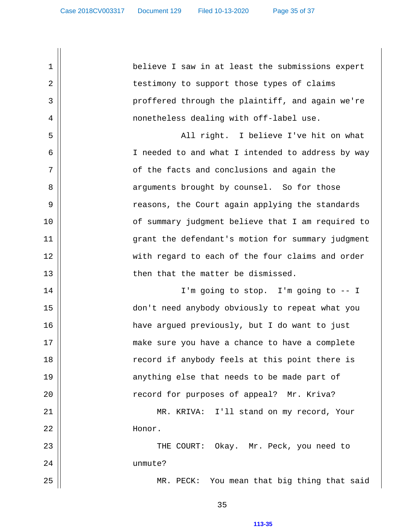1 believe I saw in at least the submissions expert 2 || testimony to support those types of claims 3 || proffered through the plaintiff, and again we're 4 nonetheless dealing with off-label use. 5 All right. I believe I've hit on what 6 || I needed to and what I intended to address by way  $7 \parallel$  of the facts and conclusions and again the 8 || arguments brought by counsel. So for those 9 reasons, the Court again applying the standards 10 || of summary judgment believe that I am required to 11 grant the defendant's motion for summary judgment 12 with regard to each of the four claims and order 13 then that the matter be dismissed. 14 || I'm going to stop. I'm going to -- I 15 don't need anybody obviously to repeat what you 16 have argued previously, but I do want to just 17 || make sure you have a chance to have a complete 18 || record if anybody feels at this point there is 19 || anything else that needs to be made part of 20 || record for purposes of appeal? Mr. Kriva? 21 MR. KRIVA: I'll stand on my record, Your 22 Honor. 23 THE COURT: Okay. Mr. Peck, you need to 24 unmute? 25 MR. PECK: You mean that big thing that said

35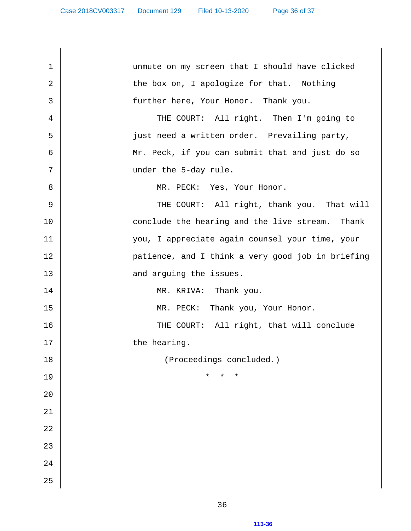| 1          | unmute on my screen that I should have clicked    |
|------------|---------------------------------------------------|
| $\sqrt{2}$ | the box on, I apologize for that. Nothing         |
| 3          | further here, Your Honor. Thank you.              |
| 4          | THE COURT: All right. Then I'm going to           |
| 5          | just need a written order. Prevailing party,      |
| 6          | Mr. Peck, if you can submit that and just do so   |
| 7          | under the 5-day rule.                             |
| 8          | MR. PECK: Yes, Your Honor.                        |
| 9          | THE COURT: All right, thank you. That will        |
| 10         | conclude the hearing and the live stream. Thank   |
| 11         | you, I appreciate again counsel your time, your   |
| 12         | patience, and I think a very good job in briefing |
| 13         | and arguing the issues.                           |
| 14         | MR. KRIVA: Thank you.                             |
| 15         | $MR.$ PECK:<br>Thank you, Your Honor.             |
| 16         | THE COURT: All right, that will conclude          |
| 17         | the hearing.                                      |
| 18         | (Proceedings concluded.)                          |
| 19         | $^\star$<br>$^\star$<br>*                         |
| 20         |                                                   |
| 21         |                                                   |
| 22         |                                                   |
| 23         |                                                   |
| 24         |                                                   |
| 25         |                                                   |